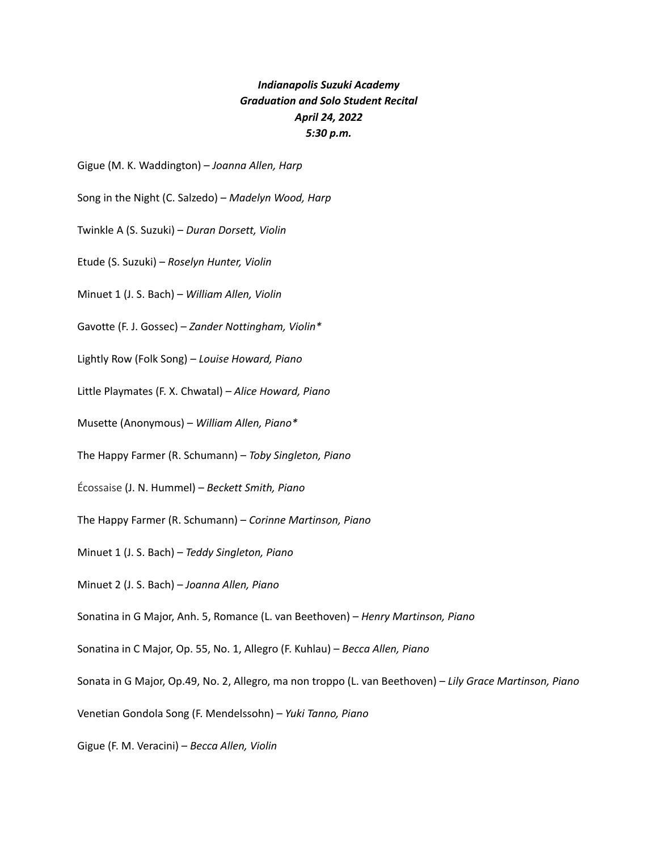## *Indianapolis Suzuki Academy Graduation and Solo Student Recital April 24, 2022 5:30 p.m.*

Gigue (M. K. Waddington) – *Joanna Allen, Harp*

Song in the Night (C. Salzedo) – *Madelyn Wood, Harp*

Twinkle A (S. Suzuki) – *Duran Dorsett, Violin*

Etude (S. Suzuki) – *Roselyn Hunter, Violin*

Minuet 1 (J. S. Bach) – *William Allen, Violin*

Gavotte (F. J. Gossec) – *Zander Nottingham, Violin\**

Lightly Row (Folk Song) – *Louise Howard, Piano*

Little Playmates (F. X. Chwatal) – *Alice Howard, Piano*

Musette (Anonymous) – *William Allen, Piano\**

The Happy Farmer (R. Schumann) – *Toby Singleton, Piano*

Écossaise (J. N. Hummel) – *Beckett Smith, Piano*

The Happy Farmer (R. Schumann) – *Corinne Martinson, Piano*

Minuet 1 (J. S. Bach) – *Teddy Singleton, Piano*

Minuet 2 (J. S. Bach) – *Joanna Allen, Piano*

Sonatina in G Major, Anh. 5, Romance (L. van Beethoven) – *Henry Martinson, Piano*

Sonatina in C Major, Op. 55, No. 1, Allegro (F. Kuhlau) – *Becca Allen, Piano*

Sonata in G Major, Op.49, No. 2, Allegro, ma non troppo (L. van Beethoven) – *Lily Grace Martinson, Piano*

Venetian Gondola Song (F. Mendelssohn) – *Yuki Tanno, Piano*

Gigue (F. M. Veracini) – *Becca Allen, Violin*